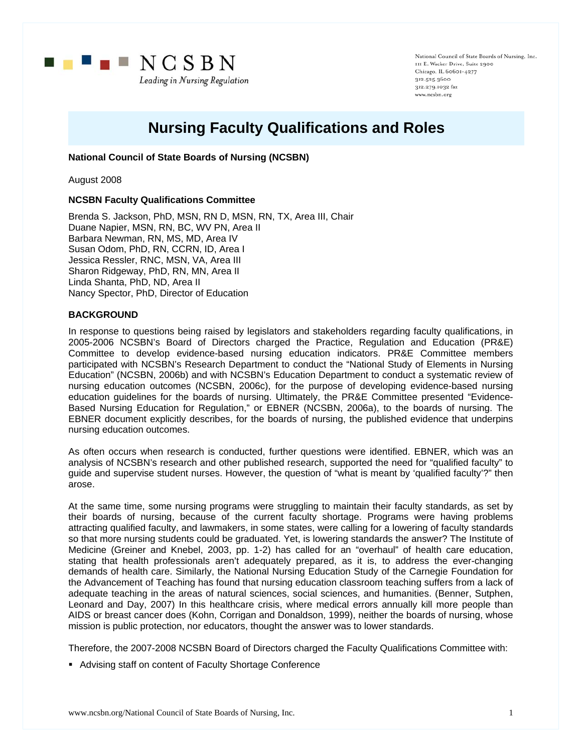

National Council of State Boards of Nursing, Inc. III E. Wacker Drive, Suite 2900 Chicago, IL 60601-4277 312.525.3600 312.279.1032 fax www.ncsbn.org

# **Nursing Faculty Qualifications and Roles**

# **National Council of State Boards of Nursing (NCSBN)**

August 2008

### **NCSBN Faculty Qualifications Committee**

Brenda S. Jackson, PhD, MSN, RN D, MSN, RN, TX, Area III, Chair Duane Napier, MSN, RN, BC, WV PN, Area II Barbara Newman, RN, MS, MD, Area IV Susan Odom, PhD, RN, CCRN, ID, Area I Jessica Ressler, RNC, MSN, VA, Area III Sharon Ridgeway, PhD, RN, MN, Area II Linda Shanta, PhD, ND, Area II Nancy Spector, PhD, Director of Education

#### **BACKGROUND**

In response to questions being raised by legislators and stakeholders regarding faculty qualifications, in 2005-2006 NCSBN's Board of Directors charged the Practice, Regulation and Education (PR&E) Committee to develop evidence-based nursing education indicators. PR&E Committee members participated with NCSBN's Research Department to conduct the "National Study of Elements in Nursing Education" (NCSBN, 2006b) and with NCSBN's Education Department to conduct a systematic review of nursing education outcomes (NCSBN, 2006c), for the purpose of developing evidence-based nursing education guidelines for the boards of nursing. Ultimately, the PR&E Committee presented "Evidence-Based Nursing Education for Regulation," or EBNER (NCSBN, 2006a), to the boards of nursing. The EBNER document explicitly describes, for the boards of nursing, the published evidence that underpins nursing education outcomes.

As often occurs when research is conducted, further questions were identified. EBNER, which was an analysis of NCSBN's research and other published research, supported the need for "qualified faculty" to guide and supervise student nurses. However, the question of "what is meant by 'qualified faculty'?" then arose.

At the same time, some nursing programs were struggling to maintain their faculty standards, as set by their boards of nursing, because of the current faculty shortage. Programs were having problems attracting qualified faculty, and lawmakers, in some states, were calling for a lowering of faculty standards so that more nursing students could be graduated. Yet, is lowering standards the answer? The Institute of Medicine (Greiner and Knebel, 2003, pp. 1-2) has called for an "overhaul" of health care education, stating that health professionals aren't adequately prepared, as it is, to address the ever-changing demands of health care. Similarly, the National Nursing Education Study of the Carnegie Foundation for the Advancement of Teaching has found that nursing education classroom teaching suffers from a lack of adequate teaching in the areas of natural sciences, social sciences, and humanities. (Benner, Sutphen, Leonard and Day, 2007) In this healthcare crisis, where medical errors annually kill more people than AIDS or breast cancer does (Kohn, Corrigan and Donaldson, 1999), neither the boards of nursing, whose mission is public protection, nor educators, thought the answer was to lower standards.

Therefore, the 2007-2008 NCSBN Board of Directors charged the Faculty Qualifications Committee with:

Advising staff on content of Faculty Shortage Conference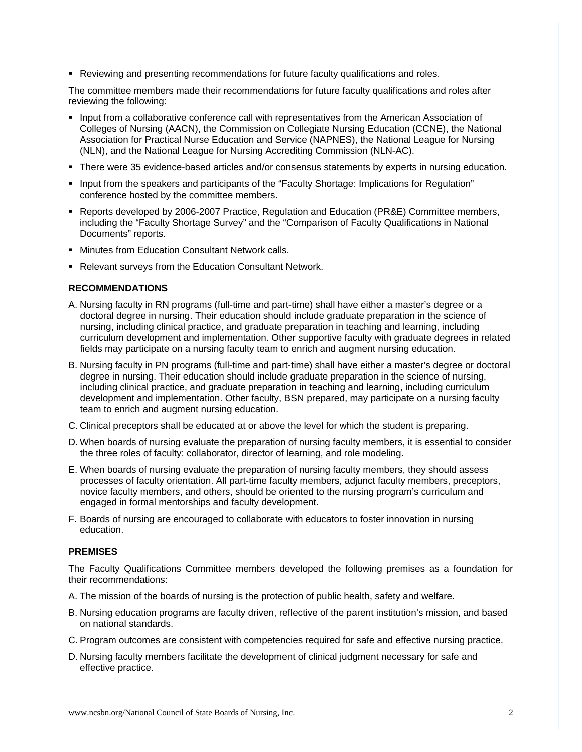**Reviewing and presenting recommendations for future faculty qualifications and roles.** 

The committee members made their recommendations for future faculty qualifications and roles after reviewing the following:

- **Input from a collaborative conference call with representatives from the American Association of** Colleges of Nursing (AACN), the Commission on Collegiate Nursing Education (CCNE), the National Association for Practical Nurse Education and Service (NAPNES), the National League for Nursing (NLN), and the National League for Nursing Accrediting Commission (NLN-AC).
- There were 35 evidence-based articles and/or consensus statements by experts in nursing education.
- Input from the speakers and participants of the "Faculty Shortage: Implications for Regulation" conference hosted by the committee members.
- **Reports developed by 2006-2007 Practice, Regulation and Education (PR&E) Committee members,** including the "Faculty Shortage Survey" and the "Comparison of Faculty Qualifications in National Documents" reports.
- **Minutes from Education Consultant Network calls.**
- Relevant surveys from the Education Consultant Network.

#### **RECOMMENDATIONS**

- A. Nursing faculty in RN programs (full-time and part-time) shall have either a master's degree or a doctoral degree in nursing. Their education should include graduate preparation in the science of nursing, including clinical practice, and graduate preparation in teaching and learning, including curriculum development and implementation. Other supportive faculty with graduate degrees in related fields may participate on a nursing faculty team to enrich and augment nursing education.
- B. Nursing faculty in PN programs (full-time and part-time) shall have either a master's degree or doctoral degree in nursing. Their education should include graduate preparation in the science of nursing, including clinical practice, and graduate preparation in teaching and learning, including curriculum development and implementation. Other faculty, BSN prepared, may participate on a nursing faculty team to enrich and augment nursing education.
- C. Clinical preceptors shall be educated at or above the level for which the student is preparing.
- D. When boards of nursing evaluate the preparation of nursing faculty members, it is essential to consider the three roles of faculty: collaborator, director of learning, and role modeling.
- E. When boards of nursing evaluate the preparation of nursing faculty members, they should assess processes of faculty orientation. All part-time faculty members, adjunct faculty members, preceptors, novice faculty members, and others, should be oriented to the nursing program's curriculum and engaged in formal mentorships and faculty development.
- F. Boards of nursing are encouraged to collaborate with educators to foster innovation in nursing education.

#### **PREMISES**

The Faculty Qualifications Committee members developed the following premises as a foundation for their recommendations:

- A. The mission of the boards of nursing is the protection of public health, safety and welfare.
- B. Nursing education programs are faculty driven, reflective of the parent institution's mission, and based on national standards.
- C. Program outcomes are consistent with competencies required for safe and effective nursing practice.
- D. Nursing faculty members facilitate the development of clinical judgment necessary for safe and effective practice.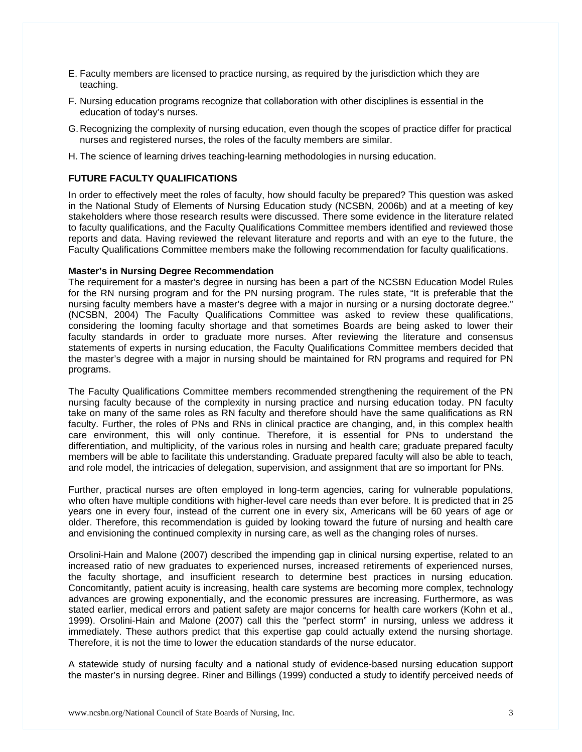- E. Faculty members are licensed to practice nursing, as required by the jurisdiction which they are teaching.
- F. Nursing education programs recognize that collaboration with other disciplines is essential in the education of today's nurses.
- G. Recognizing the complexity of nursing education, even though the scopes of practice differ for practical nurses and registered nurses, the roles of the faculty members are similar.
- H. The science of learning drives teaching-learning methodologies in nursing education.

# **FUTURE FACULTY QUALIFICATIONS**

In order to effectively meet the roles of faculty, how should faculty be prepared? This question was asked in the National Study of Elements of Nursing Education study (NCSBN, 2006b) and at a meeting of key stakeholders where those research results were discussed. There some evidence in the literature related to faculty qualifications, and the Faculty Qualifications Committee members identified and reviewed those reports and data. Having reviewed the relevant literature and reports and with an eye to the future, the Faculty Qualifications Committee members make the following recommendation for faculty qualifications.

## **Master's in Nursing Degree Recommendation**

The requirement for a master's degree in nursing has been a part of the NCSBN Education Model Rules for the RN nursing program and for the PN nursing program. The rules state, "It is preferable that the nursing faculty members have a master's degree with a major in nursing or a nursing doctorate degree." (NCSBN, 2004) The Faculty Qualifications Committee was asked to review these qualifications, considering the looming faculty shortage and that sometimes Boards are being asked to lower their faculty standards in order to graduate more nurses. After reviewing the literature and consensus statements of experts in nursing education, the Faculty Qualifications Committee members decided that the master's degree with a major in nursing should be maintained for RN programs and required for PN programs.

The Faculty Qualifications Committee members recommended strengthening the requirement of the PN nursing faculty because of the complexity in nursing practice and nursing education today. PN faculty take on many of the same roles as RN faculty and therefore should have the same qualifications as RN faculty. Further, the roles of PNs and RNs in clinical practice are changing, and, in this complex health care environment, this will only continue. Therefore, it is essential for PNs to understand the differentiation, and multiplicity, of the various roles in nursing and health care; graduate prepared faculty members will be able to facilitate this understanding. Graduate prepared faculty will also be able to teach, and role model, the intricacies of delegation, supervision, and assignment that are so important for PNs.

Further, practical nurses are often employed in long-term agencies, caring for vulnerable populations, who often have multiple conditions with higher-level care needs than ever before. It is predicted that in 25 years one in every four, instead of the current one in every six, Americans will be 60 years of age or older. Therefore, this recommendation is guided by looking toward the future of nursing and health care and envisioning the continued complexity in nursing care, as well as the changing roles of nurses.

Orsolini-Hain and Malone (2007) described the impending gap in clinical nursing expertise, related to an increased ratio of new graduates to experienced nurses, increased retirements of experienced nurses, the faculty shortage, and insufficient research to determine best practices in nursing education. Concomitantly, patient acuity is increasing, health care systems are becoming more complex, technology advances are growing exponentially, and the economic pressures are increasing. Furthermore, as was stated earlier, medical errors and patient safety are major concerns for health care workers (Kohn et al., 1999). Orsolini-Hain and Malone (2007) call this the "perfect storm" in nursing, unless we address it immediately. These authors predict that this expertise gap could actually extend the nursing shortage. Therefore, it is not the time to lower the education standards of the nurse educator.

A statewide study of nursing faculty and a national study of evidence-based nursing education support the master's in nursing degree. Riner and Billings (1999) conducted a study to identify perceived needs of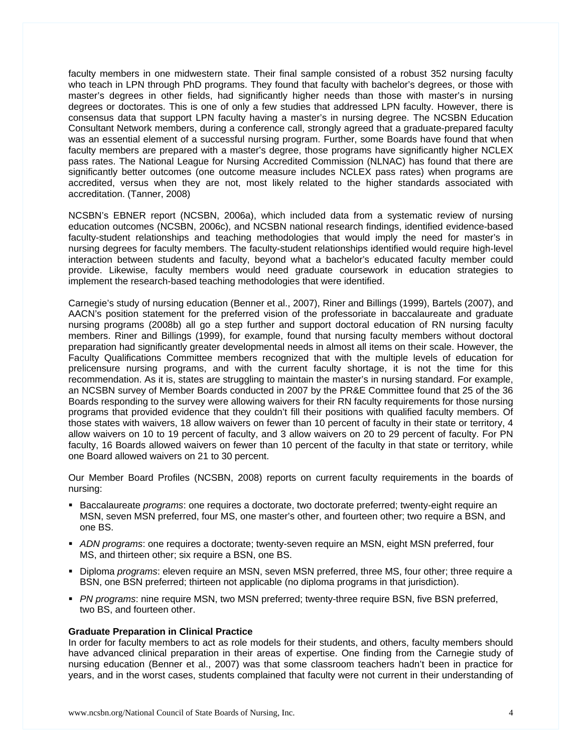faculty members in one midwestern state. Their final sample consisted of a robust 352 nursing faculty who teach in LPN through PhD programs. They found that faculty with bachelor's degrees, or those with master's degrees in other fields, had significantly higher needs than those with master's in nursing degrees or doctorates. This is one of only a few studies that addressed LPN faculty. However, there is consensus data that support LPN faculty having a master's in nursing degree. The NCSBN Education Consultant Network members, during a conference call, strongly agreed that a graduate-prepared faculty was an essential element of a successful nursing program. Further, some Boards have found that when faculty members are prepared with a master's degree, those programs have significantly higher NCLEX pass rates. The National League for Nursing Accredited Commission (NLNAC) has found that there are significantly better outcomes (one outcome measure includes NCLEX pass rates) when programs are accredited, versus when they are not, most likely related to the higher standards associated with accreditation. (Tanner, 2008)

NCSBN's EBNER report (NCSBN, 2006a), which included data from a systematic review of nursing education outcomes (NCSBN, 2006c), and NCSBN national research findings, identified evidence-based faculty-student relationships and teaching methodologies that would imply the need for master's in nursing degrees for faculty members. The faculty-student relationships identified would require high-level interaction between students and faculty, beyond what a bachelor's educated faculty member could provide. Likewise, faculty members would need graduate coursework in education strategies to implement the research-based teaching methodologies that were identified.

Carnegie's study of nursing education (Benner et al., 2007), Riner and Billings (1999), Bartels (2007), and AACN's position statement for the preferred vision of the professoriate in baccalaureate and graduate nursing programs (2008b) all go a step further and support doctoral education of RN nursing faculty members. Riner and Billings (1999), for example, found that nursing faculty members without doctoral preparation had significantly greater developmental needs in almost all items on their scale. However, the Faculty Qualifications Committee members recognized that with the multiple levels of education for prelicensure nursing programs, and with the current faculty shortage, it is not the time for this recommendation. As it is, states are struggling to maintain the master's in nursing standard. For example, an NCSBN survey of Member Boards conducted in 2007 by the PR&E Committee found that 25 of the 36 Boards responding to the survey were allowing waivers for their RN faculty requirements for those nursing programs that provided evidence that they couldn't fill their positions with qualified faculty members. Of those states with waivers, 18 allow waivers on fewer than 10 percent of faculty in their state or territory, 4 allow waivers on 10 to 19 percent of faculty, and 3 allow waivers on 20 to 29 percent of faculty. For PN faculty, 16 Boards allowed waivers on fewer than 10 percent of the faculty in that state or territory, while one Board allowed waivers on 21 to 30 percent.

Our Member Board Profiles (NCSBN, 2008) reports on current faculty requirements in the boards of nursing:

- **Baccalaureate** *programs***:** one requires a doctorate, two doctorate preferred; twenty-eight require an MSN, seven MSN preferred, four MS, one master's other, and fourteen other; two require a BSN, and one BS.
- *ADN programs*: one requires a doctorate; twenty-seven require an MSN, eight MSN preferred, four MS, and thirteen other; six require a BSN, one BS.
- **Diploma** programs; eleven require an MSN, seven MSN preferred, three MS, four other; three require a BSN, one BSN preferred; thirteen not applicable (no diploma programs in that jurisdiction).
- *PN programs*: nine require MSN, two MSN preferred; twenty-three require BSN, five BSN preferred, two BS, and fourteen other.

#### **Graduate Preparation in Clinical Practice**

In order for faculty members to act as role models for their students, and others, faculty members should have advanced clinical preparation in their areas of expertise. One finding from the Carnegie study of nursing education (Benner et al., 2007) was that some classroom teachers hadn't been in practice for years, and in the worst cases, students complained that faculty were not current in their understanding of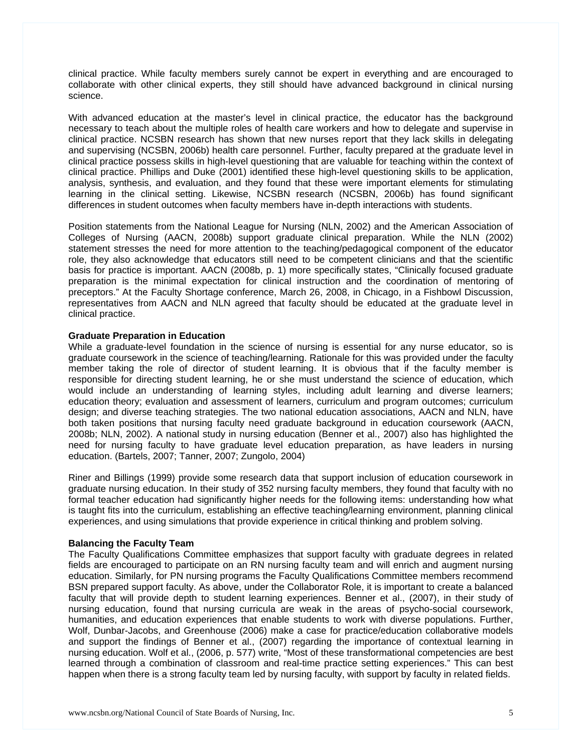clinical practice. While faculty members surely cannot be expert in everything and are encouraged to collaborate with other clinical experts, they still should have advanced background in clinical nursing science.

With advanced education at the master's level in clinical practice, the educator has the background necessary to teach about the multiple roles of health care workers and how to delegate and supervise in clinical practice. NCSBN research has shown that new nurses report that they lack skills in delegating and supervising (NCSBN, 2006b) health care personnel. Further, faculty prepared at the graduate level in clinical practice possess skills in high-level questioning that are valuable for teaching within the context of clinical practice. Phillips and Duke (2001) identified these high-level questioning skills to be application, analysis, synthesis, and evaluation, and they found that these were important elements for stimulating learning in the clinical setting. Likewise, NCSBN research (NCSBN, 2006b) has found significant differences in student outcomes when faculty members have in-depth interactions with students.

Position statements from the National League for Nursing (NLN, 2002) and the American Association of Colleges of Nursing (AACN, 2008b) support graduate clinical preparation. While the NLN (2002) statement stresses the need for more attention to the teaching/pedagogical component of the educator role, they also acknowledge that educators still need to be competent clinicians and that the scientific basis for practice is important. AACN (2008b, p. 1) more specifically states, "Clinically focused graduate preparation is the minimal expectation for clinical instruction and the coordination of mentoring of preceptors." At the Faculty Shortage conference, March 26, 2008, in Chicago, in a Fishbowl Discussion, representatives from AACN and NLN agreed that faculty should be educated at the graduate level in clinical practice.

### **Graduate Preparation in Education**

While a graduate-level foundation in the science of nursing is essential for any nurse educator, so is graduate coursework in the science of teaching/learning. Rationale for this was provided under the faculty member taking the role of director of student learning. It is obvious that if the faculty member is responsible for directing student learning, he or she must understand the science of education, which would include an understanding of learning styles, including adult learning and diverse learners; education theory; evaluation and assessment of learners, curriculum and program outcomes; curriculum design; and diverse teaching strategies. The two national education associations, AACN and NLN, have both taken positions that nursing faculty need graduate background in education coursework (AACN, 2008b; NLN, 2002). A national study in nursing education (Benner et al., 2007) also has highlighted the need for nursing faculty to have graduate level education preparation, as have leaders in nursing education. (Bartels, 2007; Tanner, 2007; Zungolo, 2004)

Riner and Billings (1999) provide some research data that support inclusion of education coursework in graduate nursing education. In their study of 352 nursing faculty members, they found that faculty with no formal teacher education had significantly higher needs for the following items: understanding how what is taught fits into the curriculum, establishing an effective teaching/learning environment, planning clinical experiences, and using simulations that provide experience in critical thinking and problem solving.

#### **Balancing the Faculty Team**

The Faculty Qualifications Committee emphasizes that support faculty with graduate degrees in related fields are encouraged to participate on an RN nursing faculty team and will enrich and augment nursing education. Similarly, for PN nursing programs the Faculty Qualifications Committee members recommend BSN prepared support faculty. As above, under the Collaborator Role, it is important to create a balanced faculty that will provide depth to student learning experiences. Benner et al., (2007), in their study of nursing education, found that nursing curricula are weak in the areas of psycho-social coursework, humanities, and education experiences that enable students to work with diverse populations. Further, Wolf, Dunbar-Jacobs, and Greenhouse (2006) make a case for practice/education collaborative models and support the findings of Benner et al., (2007) regarding the importance of contextual learning in nursing education. Wolf et al., (2006, p. 577) write, "Most of these transformational competencies are best learned through a combination of classroom and real-time practice setting experiences." This can best happen when there is a strong faculty team led by nursing faculty, with support by faculty in related fields.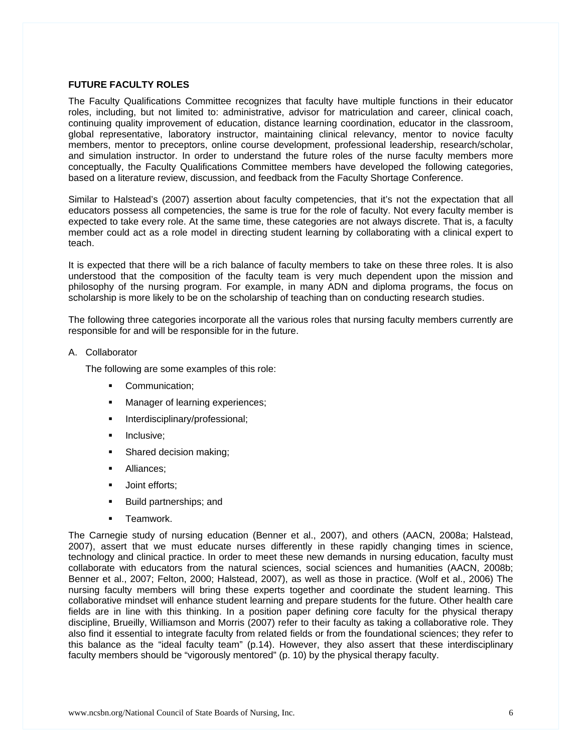# **FUTURE FACULTY ROLES**

The Faculty Qualifications Committee recognizes that faculty have multiple functions in their educator roles, including, but not limited to: administrative, advisor for matriculation and career, clinical coach, continuing quality improvement of education, distance learning coordination, educator in the classroom, global representative, laboratory instructor, maintaining clinical relevancy, mentor to novice faculty members, mentor to preceptors, online course development, professional leadership, research/scholar, and simulation instructor. In order to understand the future roles of the nurse faculty members more conceptually, the Faculty Qualifications Committee members have developed the following categories, based on a literature review, discussion, and feedback from the Faculty Shortage Conference.

Similar to Halstead's (2007) assertion about faculty competencies, that it's not the expectation that all educators possess all competencies, the same is true for the role of faculty. Not every faculty member is expected to take every role. At the same time, these categories are not always discrete. That is, a faculty member could act as a role model in directing student learning by collaborating with a clinical expert to teach.

It is expected that there will be a rich balance of faculty members to take on these three roles. It is also understood that the composition of the faculty team is very much dependent upon the mission and philosophy of the nursing program. For example, in many ADN and diploma programs, the focus on scholarship is more likely to be on the scholarship of teaching than on conducting research studies.

The following three categories incorporate all the various roles that nursing faculty members currently are responsible for and will be responsible for in the future.

A. Collaborator

The following are some examples of this role:

- **Communication;**
- Manager of learning experiences;
- Interdisciplinary/professional;
- **Inclusive:**
- Shared decision making;
- **Alliances:**
- **Joint efforts;**
- Build partnerships; and
- **Teamwork.**

The Carnegie study of nursing education (Benner et al., 2007), and others (AACN, 2008a; Halstead, 2007), assert that we must educate nurses differently in these rapidly changing times in science, technology and clinical practice. In order to meet these new demands in nursing education, faculty must collaborate with educators from the natural sciences, social sciences and humanities (AACN, 2008b; Benner et al., 2007; Felton, 2000; Halstead, 2007), as well as those in practice. (Wolf et al., 2006) The nursing faculty members will bring these experts together and coordinate the student learning. This collaborative mindset will enhance student learning and prepare students for the future. Other health care fields are in line with this thinking. In a position paper defining core faculty for the physical therapy discipline, Brueilly, Williamson and Morris (2007) refer to their faculty as taking a collaborative role. They also find it essential to integrate faculty from related fields or from the foundational sciences; they refer to this balance as the "ideal faculty team" (p.14). However, they also assert that these interdisciplinary faculty members should be "vigorously mentored" (p. 10) by the physical therapy faculty.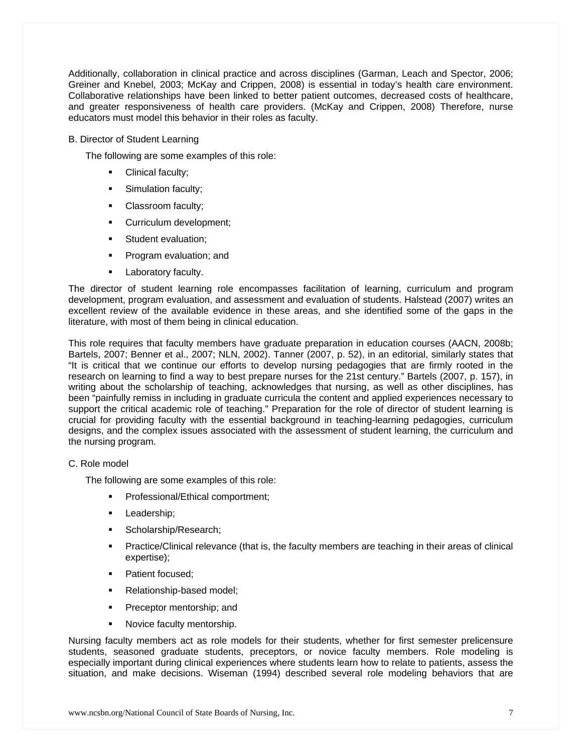Additionally, collaboration in clinical practice and across disciplines (Garman, Leach and Spector, 2006; Greiner and Knebel, 2003; McKay and Crippen, 2008) is essential in today's health care environment. Collaborative relationships have been linked to better patient outcomes, decreased costs of healthcare, and greater responsiveness of health care providers. (McKay and Crippen, 2008) Therefore, nurse educators must model this behavior in their roles as faculty.

B. Director of Student Learning

The following are some examples of this role:

- Clinical faculty;
- **Simulation faculty;**
- Classroom faculty;
- **Curriculum development;**
- **Student evaluation:**
- **Program evaluation; and**
- Laboratory faculty.

The director of student learning role encompasses facilitation of learning, curriculum and program development, program evaluation, and assessment and evaluation of students. Halstead (2007) writes an excellent review of the available evidence in these areas, and she identified some of the gaps in the literature, with most of them being in clinical education.

This role requires that faculty members have graduate preparation in education courses (AACN, 2008b; Bartels, 2007; Benner et al., 2007; NLN, 2002). Tanner (2007, p. 52), in an editorial, similarly states that "It is critical that we continue our efforts to develop nursing pedagogies that are firmly rooted in the research on learning to find a way to best prepare nurses for the 21st century." Bartels (2007, p. 157), in writing about the scholarship of teaching, acknowledges that nursing, as well as other disciplines, has been "painfully remiss in including in graduate curricula the content and applied experiences necessary to support the critical academic role of teaching." Preparation for the role of director of student learning is crucial for providing faculty with the essential background in teaching-learning pedagogies, curriculum designs, and the complex issues associated with the assessment of student learning, the curriculum and the nursing program.

# C. Role model

The following are some examples of this role:

- Professional/Ethical comportment;
- **Leadership**;
- **Scholarship/Research;**
- Practice/Clinical relevance (that is, the faculty members are teaching in their areas of clinical expertise);
- Patient focused;
- Relationship-based model;
- **Preceptor mentorship; and**
- Novice faculty mentorship.

Nursing faculty members act as role models for their students, whether for first semester prelicensure students, seasoned graduate students, preceptors, or novice faculty members. Role modeling is especially important during clinical experiences where students learn how to relate to patients, assess the situation, and make decisions. Wiseman (1994) described several role modeling behaviors that are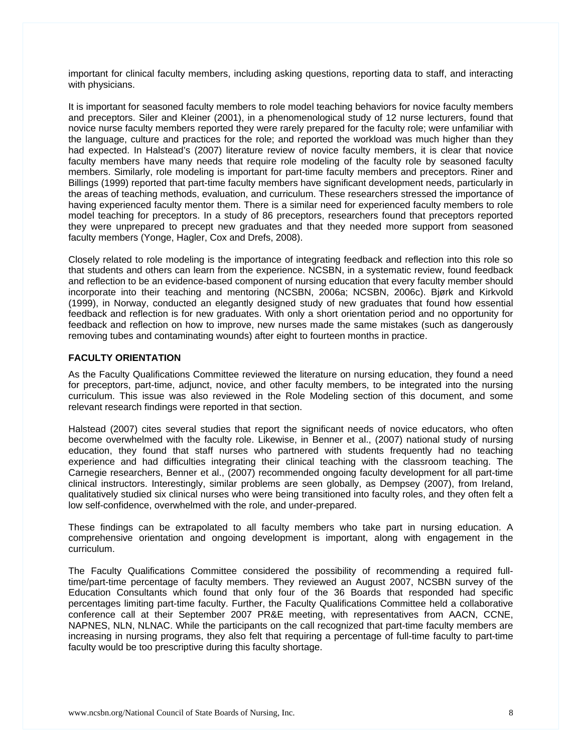important for clinical faculty members, including asking questions, reporting data to staff, and interacting with physicians.

It is important for seasoned faculty members to role model teaching behaviors for novice faculty members and preceptors. Siler and Kleiner (2001), in a phenomenological study of 12 nurse lecturers, found that novice nurse faculty members reported they were rarely prepared for the faculty role; were unfamiliar with the language, culture and practices for the role; and reported the workload was much higher than they had expected. In Halstead's (2007) literature review of novice faculty members, it is clear that novice faculty members have many needs that require role modeling of the faculty role by seasoned faculty members. Similarly, role modeling is important for part-time faculty members and preceptors. Riner and Billings (1999) reported that part-time faculty members have significant development needs, particularly in the areas of teaching methods, evaluation, and curriculum. These researchers stressed the importance of having experienced faculty mentor them. There is a similar need for experienced faculty members to role model teaching for preceptors. In a study of 86 preceptors, researchers found that preceptors reported they were unprepared to precept new graduates and that they needed more support from seasoned faculty members (Yonge, Hagler, Cox and Drefs, 2008).

Closely related to role modeling is the importance of integrating feedback and reflection into this role so that students and others can learn from the experience. NCSBN, in a systematic review, found feedback and reflection to be an evidence-based component of nursing education that every faculty member should incorporate into their teaching and mentoring (NCSBN, 2006a; NCSBN, 2006c). Bjørk and Kirkvold (1999), in Norway, conducted an elegantly designed study of new graduates that found how essential feedback and reflection is for new graduates. With only a short orientation period and no opportunity for feedback and reflection on how to improve, new nurses made the same mistakes (such as dangerously removing tubes and contaminating wounds) after eight to fourteen months in practice.

### **FACULTY ORIENTATION**

As the Faculty Qualifications Committee reviewed the literature on nursing education, they found a need for preceptors, part-time, adjunct, novice, and other faculty members, to be integrated into the nursing curriculum. This issue was also reviewed in the Role Modeling section of this document, and some relevant research findings were reported in that section.

Halstead (2007) cites several studies that report the significant needs of novice educators, who often become overwhelmed with the faculty role. Likewise, in Benner et al., (2007) national study of nursing education, they found that staff nurses who partnered with students frequently had no teaching experience and had difficulties integrating their clinical teaching with the classroom teaching. The Carnegie researchers, Benner et al., (2007) recommended ongoing faculty development for all part-time clinical instructors. Interestingly, similar problems are seen globally, as Dempsey (2007), from Ireland, qualitatively studied six clinical nurses who were being transitioned into faculty roles, and they often felt a low self-confidence, overwhelmed with the role, and under-prepared.

These findings can be extrapolated to all faculty members who take part in nursing education. A comprehensive orientation and ongoing development is important, along with engagement in the curriculum.

The Faculty Qualifications Committee considered the possibility of recommending a required fulltime/part-time percentage of faculty members. They reviewed an August 2007, NCSBN survey of the Education Consultants which found that only four of the 36 Boards that responded had specific percentages limiting part-time faculty. Further, the Faculty Qualifications Committee held a collaborative conference call at their September 2007 PR&E meeting, with representatives from AACN, CCNE, NAPNES, NLN, NLNAC. While the participants on the call recognized that part-time faculty members are increasing in nursing programs, they also felt that requiring a percentage of full-time faculty to part-time faculty would be too prescriptive during this faculty shortage.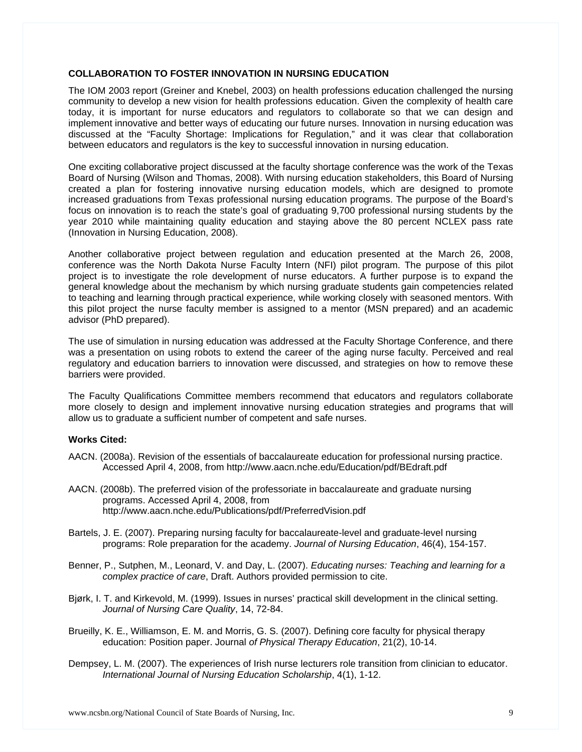# **COLLABORATION TO FOSTER INNOVATION IN NURSING EDUCATION**

The IOM 2003 report (Greiner and Knebel, 2003) on health professions education challenged the nursing community to develop a new vision for health professions education. Given the complexity of health care today, it is important for nurse educators and regulators to collaborate so that we can design and implement innovative and better ways of educating our future nurses. Innovation in nursing education was discussed at the "Faculty Shortage: Implications for Regulation," and it was clear that collaboration between educators and regulators is the key to successful innovation in nursing education.

One exciting collaborative project discussed at the faculty shortage conference was the work of the Texas Board of Nursing (Wilson and Thomas, 2008). With nursing education stakeholders, this Board of Nursing created a plan for fostering innovative nursing education models, which are designed to promote increased graduations from Texas professional nursing education programs. The purpose of the Board's focus on innovation is to reach the state's goal of graduating 9,700 professional nursing students by the year 2010 while maintaining quality education and staying above the 80 percent NCLEX pass rate (Innovation in Nursing Education, 2008).

Another collaborative project between regulation and education presented at the March 26, 2008, conference was the North Dakota Nurse Faculty Intern (NFI) pilot program. The purpose of this pilot project is to investigate the role development of nurse educators. A further purpose is to expand the general knowledge about the mechanism by which nursing graduate students gain competencies related to teaching and learning through practical experience, while working closely with seasoned mentors. With this pilot project the nurse faculty member is assigned to a mentor (MSN prepared) and an academic advisor (PhD prepared).

The use of simulation in nursing education was addressed at the Faculty Shortage Conference, and there was a presentation on using robots to extend the career of the aging nurse faculty. Perceived and real regulatory and education barriers to innovation were discussed, and strategies on how to remove these barriers were provided.

The Faculty Qualifications Committee members recommend that educators and regulators collaborate more closely to design and implement innovative nursing education strategies and programs that will allow us to graduate a sufficient number of competent and safe nurses.

#### **Works Cited:**

- AACN. (2008a). Revision of the essentials of baccalaureate education for professional nursing practice. Accessed April 4, 2008, from http://www.aacn.nche.edu/Education/pdf/BEdraft.pdf
- AACN. (2008b). The preferred vision of the professoriate in baccalaureate and graduate nursing programs. Accessed April 4, 2008, from http://www.aacn.nche.edu/Publications/pdf/PreferredVision.pdf
- Bartels, J. E. (2007). Preparing nursing faculty for baccalaureate-level and graduate-level nursing programs: Role preparation for the academy. *Journal of Nursing Education*, 46(4), 154-157.
- Benner, P., Sutphen, M., Leonard, V. and Day, L. (2007). *Educating nurses: Teaching and learning for a complex practice of care*, Draft. Authors provided permission to cite.
- Bjørk, I. T. and Kirkevold, M. (1999). Issues in nurses' practical skill development in the clinical setting. *Journal of Nursing Care Quality*, 14, 72-84.
- Brueilly, K. E., Williamson, E. M. and Morris, G. S. (2007). Defining core faculty for physical therapy education: Position paper. Journal *of Physical Therapy Education*, 21(2), 10-14.
- Dempsey, L. M. (2007). The experiences of Irish nurse lecturers role transition from clinician to educator. *International Journal of Nursing Education Scholarship*, 4(1), 1-12.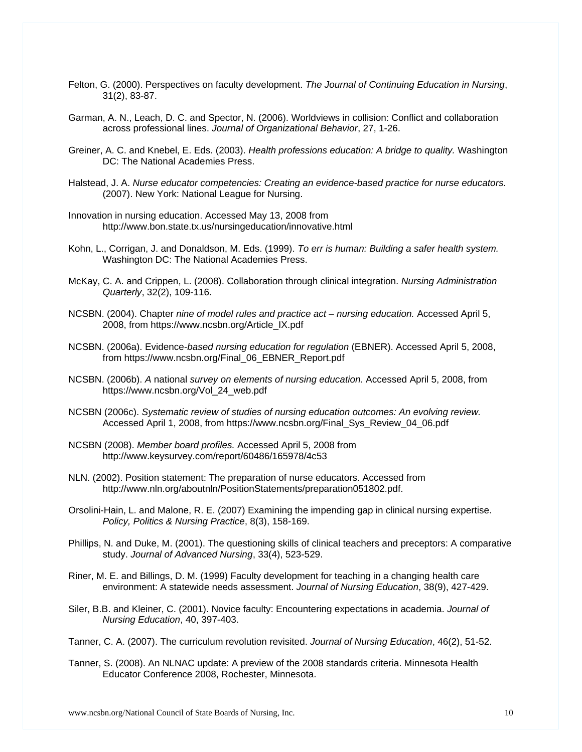- Felton, G. (2000). Perspectives on faculty development. *The Journal of Continuing Education in Nursing*, 31(2), 83-87.
- Garman, A. N., Leach, D. C. and Spector, N. (2006). Worldviews in collision: Conflict and collaboration across professional lines. *Journal of Organizational Behavior*, 27, 1-26.
- Greiner, A. C. and Knebel, E. Eds. (2003). *Health professions education: A bridge to quality.* Washington DC: The National Academies Press.
- Halstead, J. A. *Nurse educator competencies: Creating an evidence-based practice for nurse educators.*  (2007). New York: National League for Nursing.
- Innovation in nursing education. Accessed May 13, 2008 from http://www.bon.state.tx.us/nursingeducation/innovative.html
- Kohn, L., Corrigan, J. and Donaldson, M. Eds. (1999). *To err is human: Building a safer health system.*  Washington DC: The National Academies Press.
- McKay, C. A. and Crippen, L. (2008). Collaboration through clinical integration. *Nursing Administration Quarterly*, 32(2), 109-116.
- NCSBN. (2004). Chapter *nine of model rules and practice act nursing education.* Accessed April 5, 2008, from https://www.ncsbn.org/Article\_IX.pdf
- NCSBN. (2006a). Evidence*-based nursing education for regulation* (EBNER). Accessed April 5, 2008, from https://www.ncsbn.org/Final\_06\_EBNER\_Report.pdf
- NCSBN. (2006b). *A* national *survey on elements of nursing education.* Accessed April 5, 2008, from https://www.ncsbn.org/Vol\_24\_web.pdf
- NCSBN (2006c). *Systematic review of studies of nursing education outcomes: An evolving review.*  Accessed April 1, 2008, from https://www.ncsbn.org/Final\_Sys\_Review\_04\_06.pdf
- NCSBN (2008). *Member board profiles.* Accessed April 5, 2008 from http://www.keysurvey.com/report/60486/165978/4c53
- NLN. (2002). Position statement: The preparation of nurse educators. Accessed from http://www.nln.org/aboutnln/PositionStatements/preparation051802.pdf.
- Orsolini-Hain, L. and Malone, R. E. (2007) Examining the impending gap in clinical nursing expertise. *Policy, Politics & Nursing Practice*, 8(3), 158-169.
- Phillips, N. and Duke, M. (2001). The questioning skills of clinical teachers and preceptors: A comparative study. *Journal of Advanced Nursing*, 33(4), 523-529.
- Riner, M. E. and Billings, D. M. (1999) Faculty development for teaching in a changing health care environment: A statewide needs assessment. *Journal of Nursing Education*, 38(9), 427-429.
- Siler, B.B. and Kleiner, C. (2001). Novice faculty: Encountering expectations in academia. *Journal of Nursing Education*, 40, 397-403.
- Tanner, C. A. (2007). The curriculum revolution revisited. *Journal of Nursing Education*, 46(2), 51-52.
- Tanner, S. (2008). An NLNAC update: A preview of the 2008 standards criteria. Minnesota Health Educator Conference 2008, Rochester, Minnesota.